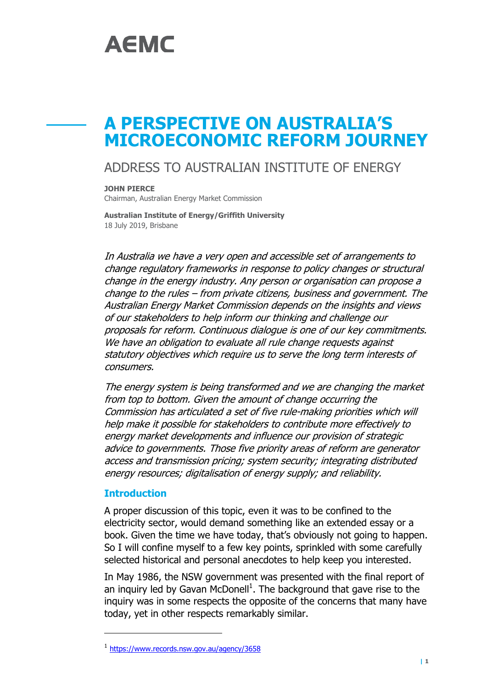# **AEMC**

## **A PERSPECTIVE ON AUSTRALIA'S MICROECONOMIC REFORM JOURNEY**

### ADDRESS TO AUSTRALIAN INSTITUTE OF ENERGY

**JOHN PIERCE** Chairman, Australian Energy Market Commission

**Australian Institute of Energy/Griffith University** 18 July 2019, Brisbane

In Australia we have a very open and accessible set of arrangements to change regulatory frameworks in response to policy changes or structural change in the energy industry. Any person or organisation can propose a change to the rules – from private citizens, business and government. The Australian Energy Market Commission depends on the insights and views of our stakeholders to help inform our thinking and challenge our proposals for reform. Continuous dialogue is one of our key commitments. We have an obligation to evaluate all rule change requests against statutory objectives which require us to serve the long term interests of consumers.

The energy system is being transformed and we are changing the market from top to bottom. Given the amount of change occurring the Commission has articulated a set of five rule-making priorities which will help make it possible for stakeholders to contribute more effectively to energy market developments and influence our provision of strategic advice to governments. Those five priority areas of reform are generator access and transmission pricing; system security; integrating distributed energy resources; digitalisation of energy supply; and reliability.

#### **Introduction**

-

A proper discussion of this topic, even it was to be confined to the electricity sector, would demand something like an extended essay or a book. Given the time we have today, that's obviously not going to happen. So I will confine myself to a few key points, sprinkled with some carefully selected historical and personal anecdotes to help keep you interested.

In May 1986, the NSW government was presented with the final report of an inquiry led by Gavan McDonell<sup>1</sup>. The background that gave rise to the inquiry was in some respects the opposite of the concerns that many have today, yet in other respects remarkably similar.

<sup>1</sup> <https://www.records.nsw.gov.au/agency/3658>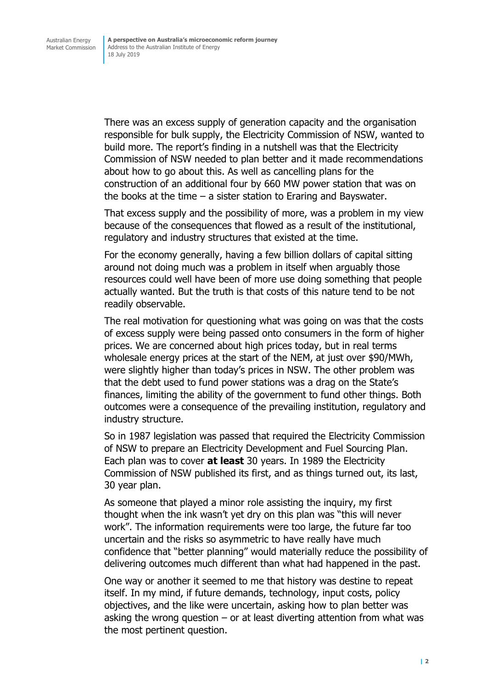There was an excess supply of generation capacity and the organisation responsible for bulk supply, the Electricity Commission of NSW, wanted to build more. The report's finding in a nutshell was that the Electricity Commission of NSW needed to plan better and it made recommendations about how to go about this. As well as cancelling plans for the construction of an additional four by 660 MW power station that was on the books at the time – a sister station to Eraring and Bayswater.

That excess supply and the possibility of more, was a problem in my view because of the consequences that flowed as a result of the institutional, regulatory and industry structures that existed at the time.

For the economy generally, having a few billion dollars of capital sitting around not doing much was a problem in itself when arguably those resources could well have been of more use doing something that people actually wanted. But the truth is that costs of this nature tend to be not readily observable.

The real motivation for questioning what was going on was that the costs of excess supply were being passed onto consumers in the form of higher prices. We are concerned about high prices today, but in real terms wholesale energy prices at the start of the NEM, at just over \$90/MWh, were slightly higher than today's prices in NSW. The other problem was that the debt used to fund power stations was a drag on the State's finances, limiting the ability of the government to fund other things. Both outcomes were a consequence of the prevailing institution, regulatory and industry structure.

So in 1987 legislation was passed that required the Electricity Commission of NSW to prepare an Electricity Development and Fuel Sourcing Plan. Each plan was to cover **at least** 30 years. In 1989 the Electricity Commission of NSW published its first, and as things turned out, its last, 30 year plan.

As someone that played a minor role assisting the inquiry, my first thought when the ink wasn't yet dry on this plan was "this will never work". The information requirements were too large, the future far too uncertain and the risks so asymmetric to have really have much confidence that "better planning" would materially reduce the possibility of delivering outcomes much different than what had happened in the past.

One way or another it seemed to me that history was destine to repeat itself. In my mind, if future demands, technology, input costs, policy objectives, and the like were uncertain, asking how to plan better was asking the wrong question  $-$  or at least diverting attention from what was the most pertinent question.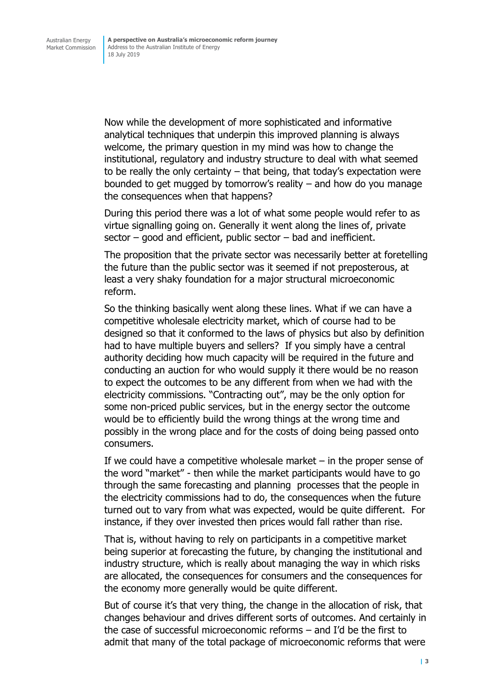Now while the development of more sophisticated and informative analytical techniques that underpin this improved planning is always welcome, the primary question in my mind was how to change the institutional, regulatory and industry structure to deal with what seemed to be really the only certainty – that being, that today's expectation were bounded to get mugged by tomorrow's reality – and how do you manage the consequences when that happens?

During this period there was a lot of what some people would refer to as virtue signalling going on. Generally it went along the lines of, private sector – good and efficient, public sector – bad and inefficient.

The proposition that the private sector was necessarily better at foretelling the future than the public sector was it seemed if not preposterous, at least a very shaky foundation for a major structural microeconomic reform.

So the thinking basically went along these lines. What if we can have a competitive wholesale electricity market, which of course had to be designed so that it conformed to the laws of physics but also by definition had to have multiple buyers and sellers? If you simply have a central authority deciding how much capacity will be required in the future and conducting an auction for who would supply it there would be no reason to expect the outcomes to be any different from when we had with the electricity commissions. "Contracting out", may be the only option for some non-priced public services, but in the energy sector the outcome would be to efficiently build the wrong things at the wrong time and possibly in the wrong place and for the costs of doing being passed onto consumers.

If we could have a competitive wholesale market  $-$  in the proper sense of the word "market" - then while the market participants would have to go through the same forecasting and planning processes that the people in the electricity commissions had to do, the consequences when the future turned out to vary from what was expected, would be quite different. For instance, if they over invested then prices would fall rather than rise.

That is, without having to rely on participants in a competitive market being superior at forecasting the future, by changing the institutional and industry structure, which is really about managing the way in which risks are allocated, the consequences for consumers and the consequences for the economy more generally would be quite different.

But of course it's that very thing, the change in the allocation of risk, that changes behaviour and drives different sorts of outcomes. And certainly in the case of successful microeconomic reforms – and I'd be the first to admit that many of the total package of microeconomic reforms that were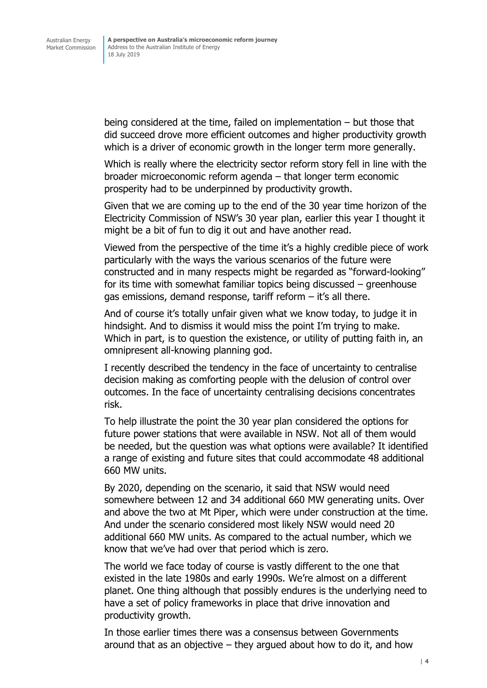being considered at the time, failed on implementation – but those that did succeed drove more efficient outcomes and higher productivity growth which is a driver of economic growth in the longer term more generally.

Which is really where the electricity sector reform story fell in line with the broader microeconomic reform agenda – that longer term economic prosperity had to be underpinned by productivity growth.

Given that we are coming up to the end of the 30 year time horizon of the Electricity Commission of NSW's 30 year plan, earlier this year I thought it might be a bit of fun to dig it out and have another read.

Viewed from the perspective of the time it's a highly credible piece of work particularly with the ways the various scenarios of the future were constructed and in many respects might be regarded as "forward-looking" for its time with somewhat familiar topics being discussed – greenhouse gas emissions, demand response, tariff reform – it's all there.

And of course it's totally unfair given what we know today, to judge it in hindsight. And to dismiss it would miss the point I'm trying to make. Which in part, is to question the existence, or utility of putting faith in, an omnipresent all-knowing planning god.

I recently described the tendency in the face of uncertainty to centralise decision making as comforting people with the delusion of control over outcomes. In the face of uncertainty centralising decisions concentrates risk.

To help illustrate the point the 30 year plan considered the options for future power stations that were available in NSW. Not all of them would be needed, but the question was what options were available? It identified a range of existing and future sites that could accommodate 48 additional 660 MW units.

By 2020, depending on the scenario, it said that NSW would need somewhere between 12 and 34 additional 660 MW generating units. Over and above the two at Mt Piper, which were under construction at the time. And under the scenario considered most likely NSW would need 20 additional 660 MW units. As compared to the actual number, which we know that we've had over that period which is zero.

The world we face today of course is vastly different to the one that existed in the late 1980s and early 1990s. We're almost on a different planet. One thing although that possibly endures is the underlying need to have a set of policy frameworks in place that drive innovation and productivity growth.

In those earlier times there was a consensus between Governments around that as an objective – they argued about how to do it, and how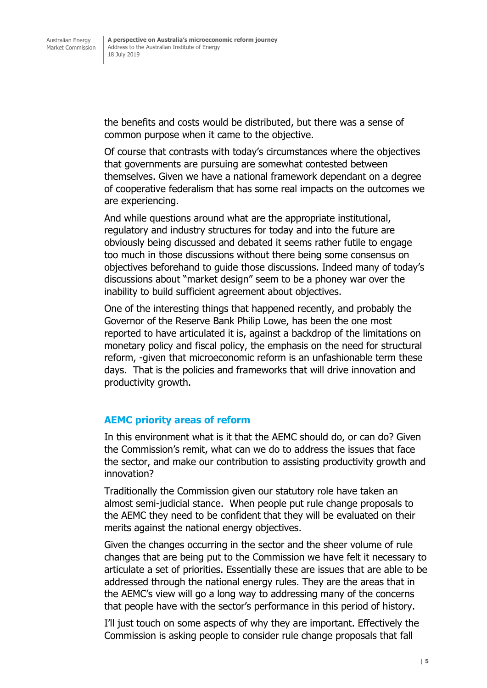**A perspective on Australia's microeconomic reform journey** Address to the Australian Institute of Energy 18 July 2019

the benefits and costs would be distributed, but there was a sense of common purpose when it came to the objective.

Of course that contrasts with today's circumstances where the objectives that governments are pursuing are somewhat contested between themselves. Given we have a national framework dependant on a degree of cooperative federalism that has some real impacts on the outcomes we are experiencing.

And while questions around what are the appropriate institutional, regulatory and industry structures for today and into the future are obviously being discussed and debated it seems rather futile to engage too much in those discussions without there being some consensus on objectives beforehand to guide those discussions. Indeed many of today's discussions about "market design" seem to be a phoney war over the inability to build sufficient agreement about objectives.

One of the interesting things that happened recently, and probably the Governor of the Reserve Bank Philip Lowe, has been the one most reported to have articulated it is, against a backdrop of the limitations on monetary policy and fiscal policy, the emphasis on the need for structural reform, -given that microeconomic reform is an unfashionable term these days. That is the policies and frameworks that will drive innovation and productivity growth.

#### **AEMC priority areas of reform**

In this environment what is it that the AEMC should do, or can do? Given the Commission's remit, what can we do to address the issues that face the sector, and make our contribution to assisting productivity growth and innovation?

Traditionally the Commission given our statutory role have taken an almost semi-judicial stance. When people put rule change proposals to the AEMC they need to be confident that they will be evaluated on their merits against the national energy objectives.

Given the changes occurring in the sector and the sheer volume of rule changes that are being put to the Commission we have felt it necessary to articulate a set of priorities. Essentially these are issues that are able to be addressed through the national energy rules. They are the areas that in the AEMC's view will go a long way to addressing many of the concerns that people have with the sector's performance in this period of history.

I'll just touch on some aspects of why they are important. Effectively the Commission is asking people to consider rule change proposals that fall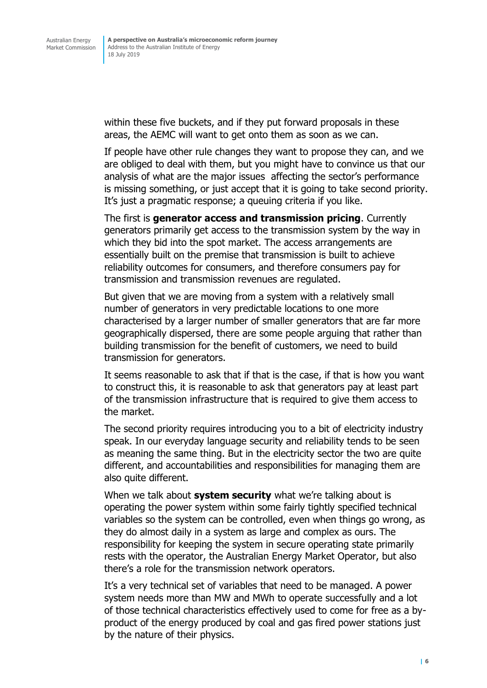**A perspective on Australia's microeconomic reform journey** Address to the Australian Institute of Energy 18 July 2019

within these five buckets, and if they put forward proposals in these areas, the AEMC will want to get onto them as soon as we can.

If people have other rule changes they want to propose they can, and we are obliged to deal with them, but you might have to convince us that our analysis of what are the major issues affecting the sector's performance is missing something, or just accept that it is going to take second priority. It's just a pragmatic response; a queuing criteria if you like.

The first is **generator access and transmission pricing**. Currently generators primarily get access to the transmission system by the way in which they bid into the spot market. The access arrangements are essentially built on the premise that transmission is built to achieve reliability outcomes for consumers, and therefore consumers pay for transmission and transmission revenues are regulated.

But given that we are moving from a system with a relatively small number of generators in very predictable locations to one more characterised by a larger number of smaller generators that are far more geographically dispersed, there are some people arguing that rather than building transmission for the benefit of customers, we need to build transmission for generators.

It seems reasonable to ask that if that is the case, if that is how you want to construct this, it is reasonable to ask that generators pay at least part of the transmission infrastructure that is required to give them access to the market.

The second priority requires introducing you to a bit of electricity industry speak. In our everyday language security and reliability tends to be seen as meaning the same thing. But in the electricity sector the two are quite different, and accountabilities and responsibilities for managing them are also quite different.

When we talk about **system security** what we're talking about is operating the power system within some fairly tightly specified technical variables so the system can be controlled, even when things go wrong, as they do almost daily in a system as large and complex as ours. The responsibility for keeping the system in secure operating state primarily rests with the operator, the Australian Energy Market Operator, but also there's a role for the transmission network operators.

It's a very technical set of variables that need to be managed. A power system needs more than MW and MWh to operate successfully and a lot of those technical characteristics effectively used to come for free as a byproduct of the energy produced by coal and gas fired power stations just by the nature of their physics.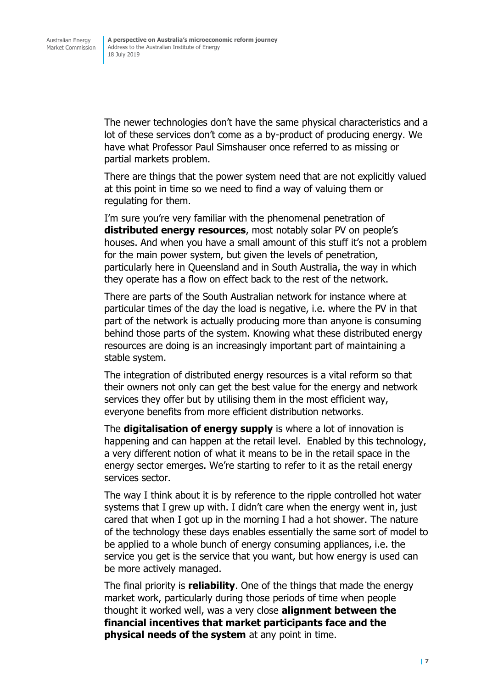The newer technologies don't have the same physical characteristics and a lot of these services don't come as a by-product of producing energy. We have what Professor Paul Simshauser once referred to as missing or partial markets problem.

There are things that the power system need that are not explicitly valued at this point in time so we need to find a way of valuing them or regulating for them.

I'm sure you're very familiar with the phenomenal penetration of **distributed energy resources**, most notably solar PV on people's houses. And when you have a small amount of this stuff it's not a problem for the main power system, but given the levels of penetration, particularly here in Queensland and in South Australia, the way in which they operate has a flow on effect back to the rest of the network.

There are parts of the South Australian network for instance where at particular times of the day the load is negative, i.e. where the PV in that part of the network is actually producing more than anyone is consuming behind those parts of the system. Knowing what these distributed energy resources are doing is an increasingly important part of maintaining a stable system.

The integration of distributed energy resources is a vital reform so that their owners not only can get the best value for the energy and network services they offer but by utilising them in the most efficient way, everyone benefits from more efficient distribution networks.

The **digitalisation of energy supply** is where a lot of innovation is happening and can happen at the retail level. Enabled by this technology, a very different notion of what it means to be in the retail space in the energy sector emerges. We're starting to refer to it as the retail energy services sector.

The way I think about it is by reference to the ripple controlled hot water systems that I grew up with. I didn't care when the energy went in, just cared that when I got up in the morning I had a hot shower. The nature of the technology these days enables essentially the same sort of model to be applied to a whole bunch of energy consuming appliances, i.e. the service you get is the service that you want, but how energy is used can be more actively managed.

The final priority is **reliability**. One of the things that made the energy market work, particularly during those periods of time when people thought it worked well, was a very close **alignment between the financial incentives that market participants face and the physical needs of the system** at any point in time.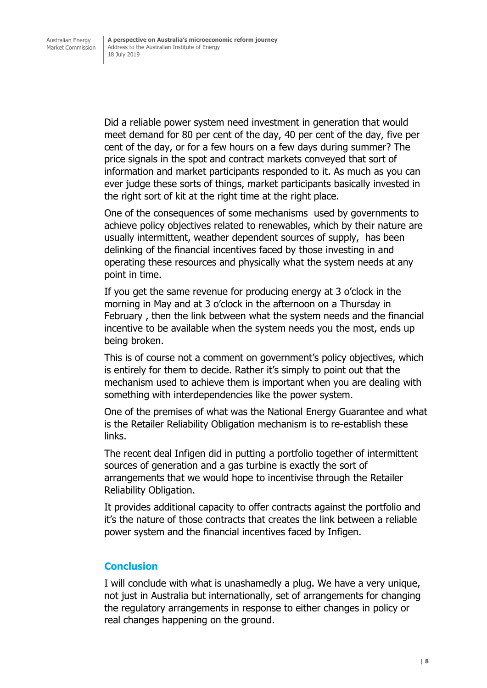Did a reliable power system need investment in generation that would meet demand for 80 per cent of the day, 40 per cent of the day, five per cent of the day, or for a few hours on a few days during summer? The price signals in the spot and contract markets conveyed that sort of information and market participants responded to it. As much as you can ever judge these sorts of things, market participants basically invested in the right sort of kit at the right time at the right place.

One of the consequences of some mechanisms used by governments to achieve policy objectives related to renewables, which by their nature are usually intermittent, weather dependent sources of supply, has been delinking of the financial incentives faced by those investing in and operating these resources and physically what the system needs at any point in time.

If you get the same revenue for producing energy at 3 o'clock in the morning in May and at 3 o'clock in the afternoon on a Thursday in February , then the link between what the system needs and the financial incentive to be available when the system needs you the most, ends up being broken.

This is of course not a comment on government's policy objectives, which is entirely for them to decide. Rather it's simply to point out that the mechanism used to achieve them is important when you are dealing with something with interdependencies like the power system.

One of the premises of what was the National Energy Guarantee and what is the Retailer Reliability Obligation mechanism is to re-establish these links.

The recent deal Infigen did in putting a portfolio together of intermittent sources of generation and a gas turbine is exactly the sort of arrangements that we would hope to incentivise through the Retailer Reliability Obligation.

It provides additional capacity to offer contracts against the portfolio and it's the nature of those contracts that creates the link between a reliable power system and the financial incentives faced by Infigen.

#### **Conclusion**

I will conclude with what is unashamedly a plug. We have a very unique, not just in Australia but internationally, set of arrangements for changing the regulatory arrangements in response to either changes in policy or real changes happening on the ground.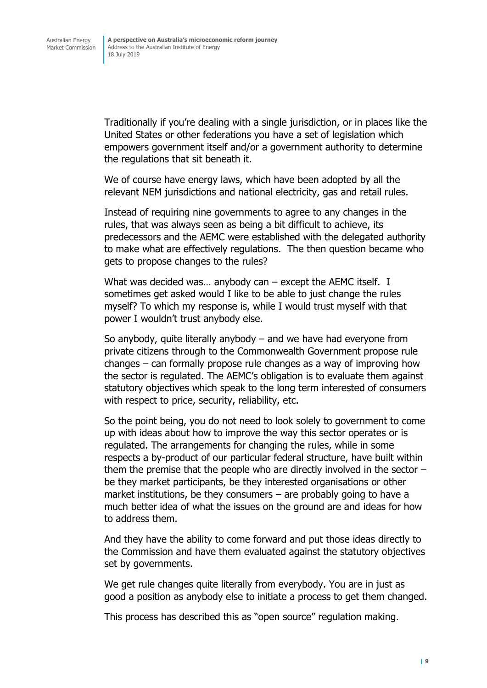Traditionally if you're dealing with a single jurisdiction, or in places like the United States or other federations you have a set of legislation which empowers government itself and/or a government authority to determine the regulations that sit beneath it.

We of course have energy laws, which have been adopted by all the relevant NEM jurisdictions and national electricity, gas and retail rules.

Instead of requiring nine governments to agree to any changes in the rules, that was always seen as being a bit difficult to achieve, its predecessors and the AEMC were established with the delegated authority to make what are effectively regulations. The then question became who gets to propose changes to the rules?

What was decided was... anybody can  $-$  except the AEMC itself. I sometimes get asked would I like to be able to just change the rules myself? To which my response is, while I would trust myself with that power I wouldn't trust anybody else.

So anybody, quite literally anybody – and we have had everyone from private citizens through to the Commonwealth Government propose rule changes – can formally propose rule changes as a way of improving how the sector is regulated. The AEMC's obligation is to evaluate them against statutory objectives which speak to the long term interested of consumers with respect to price, security, reliability, etc.

So the point being, you do not need to look solely to government to come up with ideas about how to improve the way this sector operates or is regulated. The arrangements for changing the rules, while in some respects a by-product of our particular federal structure, have built within them the premise that the people who are directly involved in the sector – be they market participants, be they interested organisations or other market institutions, be they consumers – are probably going to have a much better idea of what the issues on the ground are and ideas for how to address them.

And they have the ability to come forward and put those ideas directly to the Commission and have them evaluated against the statutory objectives set by governments.

We get rule changes quite literally from everybody. You are in just as good a position as anybody else to initiate a process to get them changed.

This process has described this as "open source" regulation making.